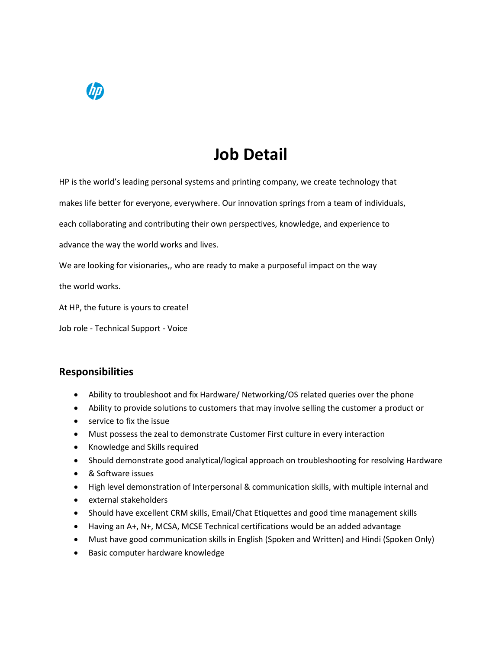## **Job Detail**

HP is the world's leading personal systems and printing company, we create technology that

makes life better for everyone, everywhere. Our innovation springs from a team of individuals,

each collaborating and contributing their own perspectives, knowledge, and experience to

advance the way the world works and lives.

We are looking for visionaries,, who are ready to make a purposeful impact on the way

the world works.

At HP, the future is yours to create!

Job role - Technical Support - Voice

## **Responsibilities**

- Ability to troubleshoot and fix Hardware/ Networking/OS related queries over the phone
- Ability to provide solutions to customers that may involve selling the customer a product or
- service to fix the issue
- Must possess the zeal to demonstrate Customer First culture in every interaction
- Knowledge and Skills required
- Should demonstrate good analytical/logical approach on troubleshooting for resolving Hardware
- & Software issues
- High level demonstration of Interpersonal & communication skills, with multiple internal and
- external stakeholders
- Should have excellent CRM skills, Email/Chat Etiquettes and good time management skills
- Having an A+, N+, MCSA, MCSE Technical certifications would be an added advantage
- Must have good communication skills in English (Spoken and Written) and Hindi (Spoken Only)
- Basic computer hardware knowledge